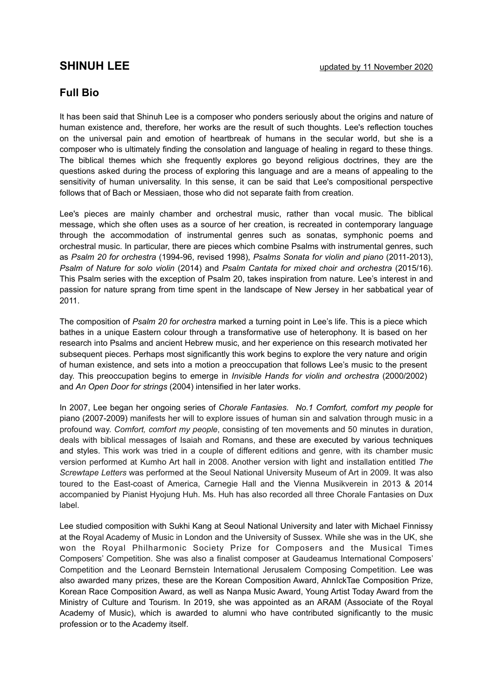## **Full Bio**

It has been said that Shinuh Lee is a composer who ponders seriously about the origins and nature of human existence and, therefore, her works are the result of such thoughts. Lee's reflection touches on the universal pain and emotion of heartbreak of humans in the secular world, but she is a composer who is ultimately finding the consolation and language of healing in regard to these things. The biblical themes which she frequently explores go beyond religious doctrines, they are the questions asked during the process of exploring this language and are a means of appealing to the sensitivity of human universality. In this sense, it can be said that Lee's compositional perspective follows that of Bach or Messiaen, those who did not separate faith from creation.

Lee's pieces are mainly chamber and orchestral music, rather than vocal music. The biblical message, which she often uses as a source of her creation, is recreated in contemporary language through the accommodation of instrumental genres such as sonatas, symphonic poems and orchestral music. In particular, there are pieces which combine Psalms with instrumental genres, such as *Psalm 20 for orchestra* (1994-96, revised 1998), *Psalms Sonata for violin and piano* (2011-2013), *Psalm of Nature for solo violin* (2014) and *Psalm Cantata for mixed choir and orchestra* (2015/16). This Psalm series with the exception of Psalm 20, takes inspiration from nature. Lee's interest in and passion for nature sprang from time spent in the landscape of New Jersey in her sabbatical year of 2011.

The composition of *Psalm 20 for orchestra* marked a turning point in Lee's life. This is a piece which bathes in a unique Eastern colour through a transformative use of heterophony. It is based on her research into Psalms and ancient Hebrew music, and her experience on this research motivated her subsequent pieces. Perhaps most significantly this work begins to explore the very nature and origin of human existence, and sets into a motion a preoccupation that follows Lee's music to the present day. This preoccupation begins to emerge in *Invisible Hands for violin and orchestra* (2000/2002) and *An Open Door for strings* (2004) intensified in her later works.

In 2007, Lee began her ongoing series of *Chorale Fantasies. No.1 Comfort, comfort my people* for piano (2007-2009) manifests her will to explore issues of human sin and salvation through music in a profound way. *Comfort, comfort my people*, consisting of ten movements and 50 minutes in duration, deals with biblical messages of Isaiah and Romans, and these are executed by various techniques and styles. This work was tried in a couple of different editions and genre, with its chamber music version performed at Kumho Art hall in 2008. Another version with light and installation entitled *The Screwtape Letters* was performed at the Seoul National University Museum of Art in 2009. It was also toured to the East-coast of America, Carnegie Hall and the Vienna Musikverein in 2013 & 2014 accompanied by Pianist Hyojung Huh. Ms. Huh has also recorded all three Chorale Fantasies on Dux label.

Lee studied composition with Sukhi Kang at Seoul National University and later with Michael Finnissy at the Royal Academy of Music in London and the University of Sussex. While she was in the UK, she won the Royal Philharmonic Society Prize for Composers and the Musical Times Composers' Competition. She was also a finalist composer at Gaudeamus International Composers' Competition and the Leonard Bernstein International Jerusalem Composing Competition. Lee was also awarded many prizes, these are the Korean Composition Award, AhnIckTae Composition Prize, Korean Race Composition Award, as well as Nanpa Music Award, Young Artist Today Award from the Ministry of Culture and Tourism. In 2019, she was appointed as an ARAM (Associate of the Royal Academy of Music), which is awarded to alumni who have contributed significantly to the music profession or to the Academy itself.